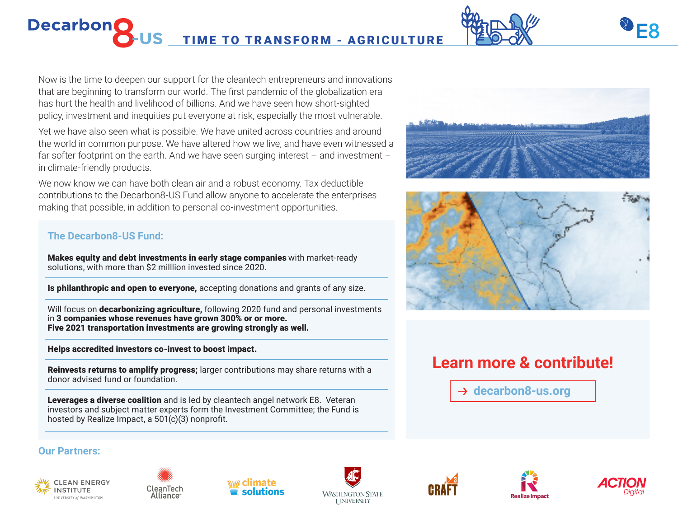# **DecarbonC** US TIME TO TRANSFORM - AGRICULTURE



Yet we have also seen what is possible. We have united across countries and around the world in common purpose. We have altered how we live, and have even witnessed a far softer footprint on the earth. And we have seen surging interest – and investment – in climate-friendly products.

We now know we can have both clean air and a robust economy. Tax deductible contributions to the Decarbon8-US Fund allow anyone to accelerate the enterprises making that possible, in addition to personal co-investment opportunities.

### **The Decarbon8-US Fund:**

Makes equity and debt investments in early stage companies with market-ready solutions, with more than \$2 milllion invested since 2020.

**Is philanthropic and open to everyone,** accepting donations and grants of any size.

Will focus on **decarbonizing agriculture**, following 2020 fund and personal investments in 3 companies whose revenues have grown 300% or or more. Five 2021 transportation investments are growing strongly as well.

Helps accredited investors co-invest to boost impact.

Reinvests returns to amplify progress; larger contributions may share returns with a donor advised fund or foundation.

Leverages a diverse coalition and is led by cleantech angel network E8. Veteran investors and subject matter experts form the Investment Committee; the Fund is hosted by Realize Impact, a 501(c)(3) nonprofit.

#### **Our Partners:**





















## **Learn more & contribute!**

 $→$  **decarbon8-us.org**